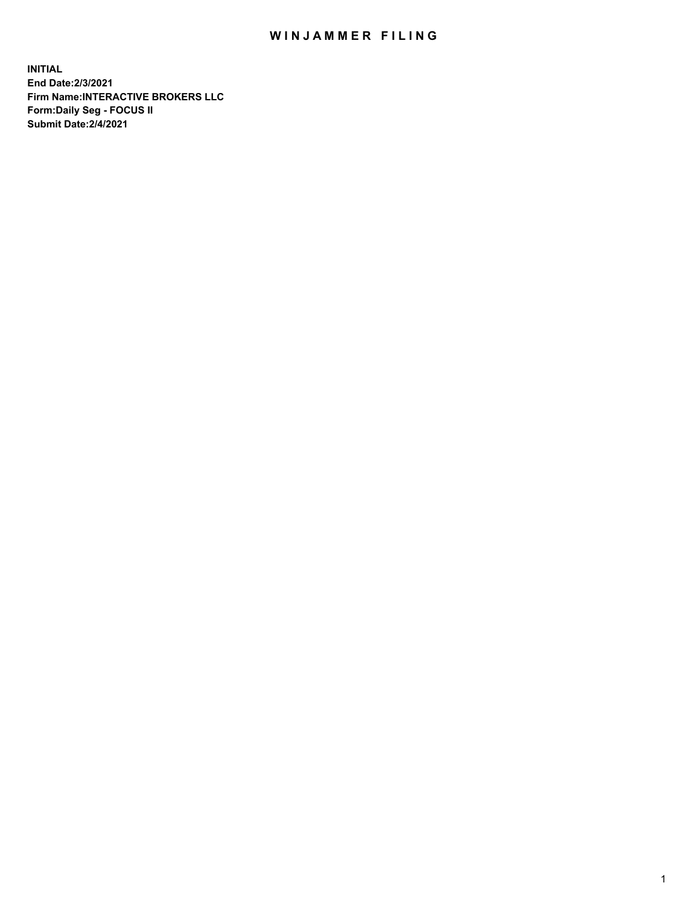## WIN JAMMER FILING

**INITIAL End Date:2/3/2021 Firm Name:INTERACTIVE BROKERS LLC Form:Daily Seg - FOCUS II Submit Date:2/4/2021**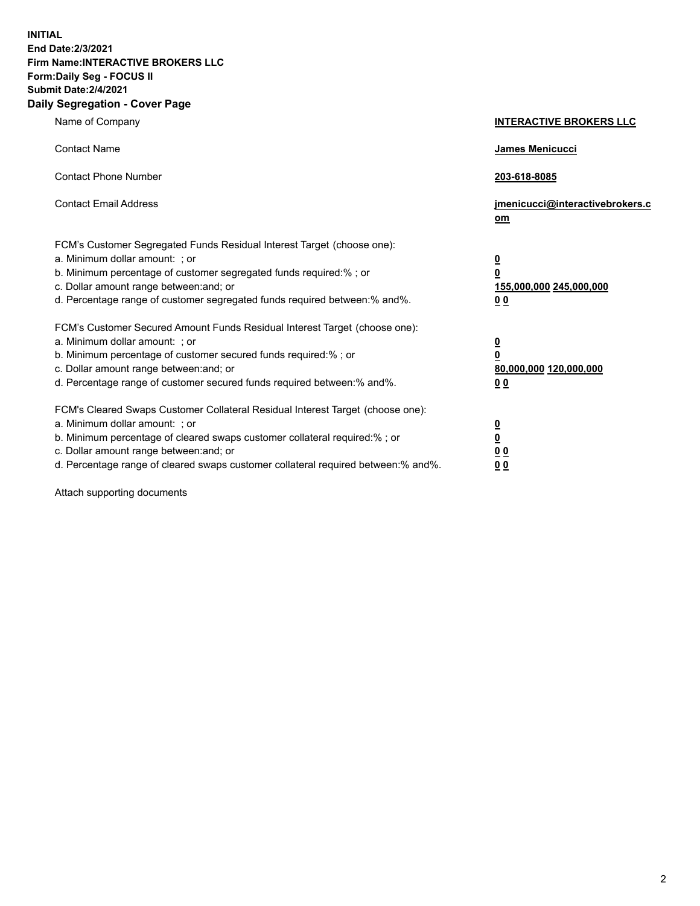**INITIAL End Date:2/3/2021 Firm Name:INTERACTIVE BROKERS LLC Form:Daily Seg - FOCUS II Submit Date:2/4/2021 Daily Segregation - Cover Page**

| Name of Company                                                                                                                                                                                                                                                                                                                | <b>INTERACTIVE BROKERS LLC</b>                                                                  |
|--------------------------------------------------------------------------------------------------------------------------------------------------------------------------------------------------------------------------------------------------------------------------------------------------------------------------------|-------------------------------------------------------------------------------------------------|
| <b>Contact Name</b>                                                                                                                                                                                                                                                                                                            | James Menicucci                                                                                 |
| <b>Contact Phone Number</b>                                                                                                                                                                                                                                                                                                    | 203-618-8085                                                                                    |
| <b>Contact Email Address</b>                                                                                                                                                                                                                                                                                                   | jmenicucci@interactivebrokers.c<br>om                                                           |
| FCM's Customer Segregated Funds Residual Interest Target (choose one):<br>a. Minimum dollar amount: ; or<br>b. Minimum percentage of customer segregated funds required:%; or<br>c. Dollar amount range between: and; or<br>d. Percentage range of customer segregated funds required between:% and%.                          | $\overline{\mathbf{0}}$<br>$\overline{\mathbf{0}}$<br>155,000,000 245,000,000<br>0 <sub>0</sub> |
| FCM's Customer Secured Amount Funds Residual Interest Target (choose one):<br>a. Minimum dollar amount: ; or<br>b. Minimum percentage of customer secured funds required:% ; or<br>c. Dollar amount range between: and; or<br>d. Percentage range of customer secured funds required between:% and%.                           | $\frac{0}{0}$<br>80,000,000 120,000,000<br>0 <sub>0</sub>                                       |
| FCM's Cleared Swaps Customer Collateral Residual Interest Target (choose one):<br>a. Minimum dollar amount: ; or<br>b. Minimum percentage of cleared swaps customer collateral required:% ; or<br>c. Dollar amount range between: and; or<br>d. Percentage range of cleared swaps customer collateral required between:% and%. | $\frac{0}{0}$<br>0 <sub>0</sub><br>0 <sub>0</sub>                                               |

Attach supporting documents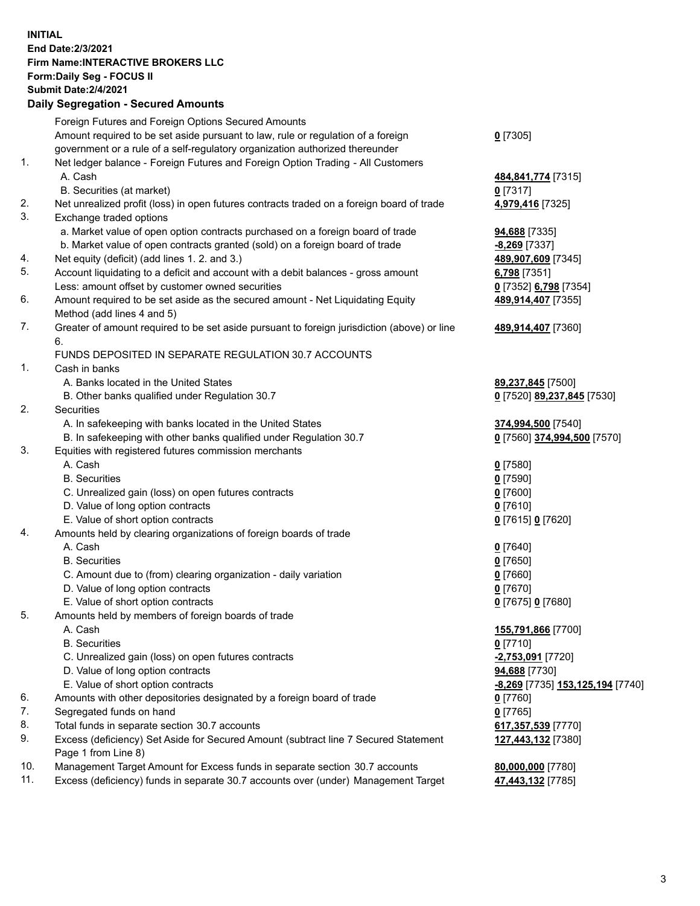## **INITIAL End Date:2/3/2021 Firm Name:INTERACTIVE BROKERS LLC Form:Daily Seg - FOCUS II Submit Date:2/4/2021 Daily Segregation - Secured Amounts**

|                | $\frac{1}{2}$                                                                                     |                                                |
|----------------|---------------------------------------------------------------------------------------------------|------------------------------------------------|
|                | Foreign Futures and Foreign Options Secured Amounts                                               |                                                |
|                | Amount required to be set aside pursuant to law, rule or regulation of a foreign                  | $0$ [7305]                                     |
|                | government or a rule of a self-regulatory organization authorized thereunder                      |                                                |
| 1.             | Net ledger balance - Foreign Futures and Foreign Option Trading - All Customers                   |                                                |
|                | A. Cash                                                                                           | 484,841,774 [7315]                             |
|                | B. Securities (at market)                                                                         | $0$ [7317]                                     |
| 2.             | Net unrealized profit (loss) in open futures contracts traded on a foreign board of trade         | 4,979,416 [7325]                               |
| 3.             | Exchange traded options                                                                           |                                                |
|                | a. Market value of open option contracts purchased on a foreign board of trade                    | 94,688 [7335]                                  |
|                | b. Market value of open contracts granted (sold) on a foreign board of trade                      | -8,269 [7337]                                  |
| 4.             | Net equity (deficit) (add lines 1. 2. and 3.)                                                     | 489,907,609 [7345]                             |
| 5.             | Account liquidating to a deficit and account with a debit balances - gross amount                 | 6,798 [7351]                                   |
|                | Less: amount offset by customer owned securities                                                  | 0 [7352] 6,798 [7354]                          |
| 6.             | Amount required to be set aside as the secured amount - Net Liquidating Equity                    | 489,914,407 [7355]                             |
|                | Method (add lines 4 and 5)                                                                        |                                                |
| 7.             | Greater of amount required to be set aside pursuant to foreign jurisdiction (above) or line<br>6. | 489,914,407 [7360]                             |
|                | FUNDS DEPOSITED IN SEPARATE REGULATION 30.7 ACCOUNTS                                              |                                                |
| $\mathbf{1}$ . | Cash in banks                                                                                     |                                                |
|                | A. Banks located in the United States                                                             | 89,237,845 [7500]                              |
|                | B. Other banks qualified under Regulation 30.7                                                    | 0 [7520] 89,237,845 [7530]                     |
| 2.             | Securities                                                                                        |                                                |
|                | A. In safekeeping with banks located in the United States                                         | 374,994,500 [7540]                             |
|                | B. In safekeeping with other banks qualified under Regulation 30.7                                | 0 [7560] 374,994,500 [7570]                    |
| 3.             | Equities with registered futures commission merchants                                             |                                                |
|                | A. Cash                                                                                           | $0$ [7580]                                     |
|                | <b>B.</b> Securities                                                                              | $0$ [7590]                                     |
|                | C. Unrealized gain (loss) on open futures contracts                                               | $0$ [7600]                                     |
|                | D. Value of long option contracts                                                                 | $0$ [7610]                                     |
|                | E. Value of short option contracts                                                                | 0 [7615] 0 [7620]                              |
| 4.             | Amounts held by clearing organizations of foreign boards of trade                                 |                                                |
|                | A. Cash                                                                                           | $0$ [7640]                                     |
|                | <b>B.</b> Securities                                                                              | $0$ [7650]                                     |
|                | C. Amount due to (from) clearing organization - daily variation                                   | $0$ [7660]                                     |
|                | D. Value of long option contracts                                                                 | $0$ [7670]                                     |
|                | E. Value of short option contracts                                                                | 0 [7675] 0 [7680]                              |
| 5.             | Amounts held by members of foreign boards of trade                                                |                                                |
|                | A. Cash                                                                                           | 155,791,866 [7700]                             |
|                | <b>B.</b> Securities                                                                              | $0$ [7710]                                     |
|                | C. Unrealized gain (loss) on open futures contracts                                               | -2,753,091 [7720]                              |
|                | D. Value of long option contracts                                                                 | 94,688 [7730]                                  |
|                | E. Value of short option contracts                                                                | <u>-8,269</u> [7735] <u>153,125,194</u> [7740] |
| 6.             | Amounts with other depositories designated by a foreign board of trade                            | $0$ [7760]                                     |
| 7.             | Segregated funds on hand                                                                          | $0$ [7765]                                     |
| 8.             | Total funds in separate section 30.7 accounts                                                     | 617,357,539 [7770]                             |
| 9.             | Excess (deficiency) Set Aside for Secured Amount (subtract line 7 Secured Statement               | 127,443,132 [7380]                             |
|                | Page 1 from Line 8)                                                                               |                                                |
| 10.            | Management Target Amount for Excess funds in separate section 30.7 accounts                       | 80,000,000 [7780]                              |
| 11.            | Excess (deficiency) funds in separate 30.7 accounts over (under) Management Target                | 47,443,132 [7785]                              |
|                |                                                                                                   |                                                |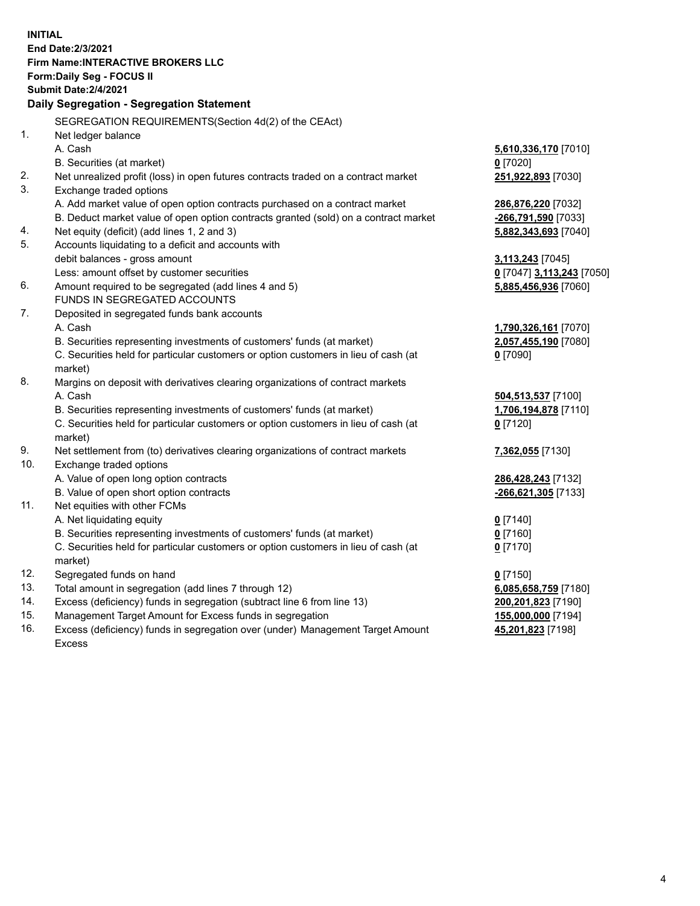**INITIAL End Date:2/3/2021 Firm Name:INTERACTIVE BROKERS LLC Form:Daily Seg - FOCUS II Submit Date:2/4/2021 Daily Segregation - Segregation Statement** SEGREGATION REQUIREMENTS(Section 4d(2) of the CEAct) 1. Net ledger balance A. Cash **5,610,336,170** [7010] B. Securities (at market) **0** [7020] 2. Net unrealized profit (loss) in open futures contracts traded on a contract market **251,922,893** [7030] 3. Exchange traded options A. Add market value of open option contracts purchased on a contract market **286,876,220** [7032] B. Deduct market value of open option contracts granted (sold) on a contract market **-266,791,590** [7033] 4. Net equity (deficit) (add lines 1, 2 and 3) **5,882,343,693** [7040] 5. Accounts liquidating to a deficit and accounts with debit balances - gross amount **3,113,243** [7045] Less: amount offset by customer securities **0** [7047] **3,113,243** [7050] 6. Amount required to be segregated (add lines 4 and 5) **5,885,456,936** [7060] FUNDS IN SEGREGATED ACCOUNTS 7. Deposited in segregated funds bank accounts A. Cash **1,790,326,161** [7070] B. Securities representing investments of customers' funds (at market) **2,057,455,190** [7080] C. Securities held for particular customers or option customers in lieu of cash (at market) **0** [7090] 8. Margins on deposit with derivatives clearing organizations of contract markets A. Cash **504,513,537** [7100] B. Securities representing investments of customers' funds (at market) **1,706,194,878** [7110] C. Securities held for particular customers or option customers in lieu of cash (at market) **0** [7120] 9. Net settlement from (to) derivatives clearing organizations of contract markets **7,362,055** [7130] 10. Exchange traded options A. Value of open long option contracts **286,428,243** [7132] B. Value of open short option contracts **-266,621,305** [7133] 11. Net equities with other FCMs A. Net liquidating equity **0** [7140] B. Securities representing investments of customers' funds (at market) **0** [7160] C. Securities held for particular customers or option customers in lieu of cash (at market) **0** [7170] 12. Segregated funds on hand **0** [7150] 13. Total amount in segregation (add lines 7 through 12) **6,085,658,759** [7180] 14. Excess (deficiency) funds in segregation (subtract line 6 from line 13) **200,201,823** [7190] 15. Management Target Amount for Excess funds in segregation **155,000,000** [7194]

16. Excess (deficiency) funds in segregation over (under) Management Target Amount Excess

**45,201,823** [7198]